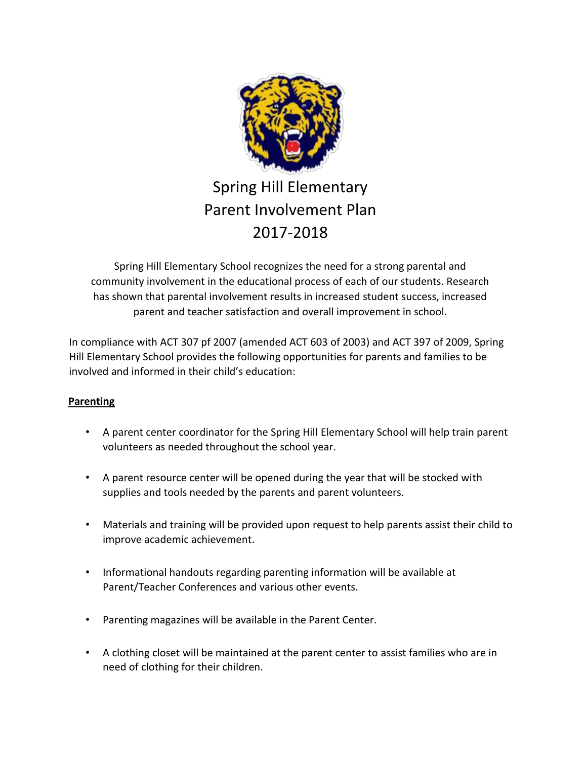

# Spring Hill Elementary Parent Involvement Plan 2017-2018

Spring Hill Elementary School recognizes the need for a strong parental and community involvement in the educational process of each of our students. Research has shown that parental involvement results in increased student success, increased parent and teacher satisfaction and overall improvement in school.

In compliance with ACT 307 pf 2007 (amended ACT 603 of 2003) and ACT 397 of 2009, Spring Hill Elementary School provides the following opportunities for parents and families to be involved and informed in their child's education:

## **Parenting**

- A parent center coordinator for the Spring Hill Elementary School will help train parent volunteers as needed throughout the school year.
- A parent resource center will be opened during the year that will be stocked with supplies and tools needed by the parents and parent volunteers.
- Materials and training will be provided upon request to help parents assist their child to improve academic achievement.
- Informational handouts regarding parenting information will be available at Parent/Teacher Conferences and various other events.
- Parenting magazines will be available in the Parent Center.
- A clothing closet will be maintained at the parent center to assist families who are in need of clothing for their children.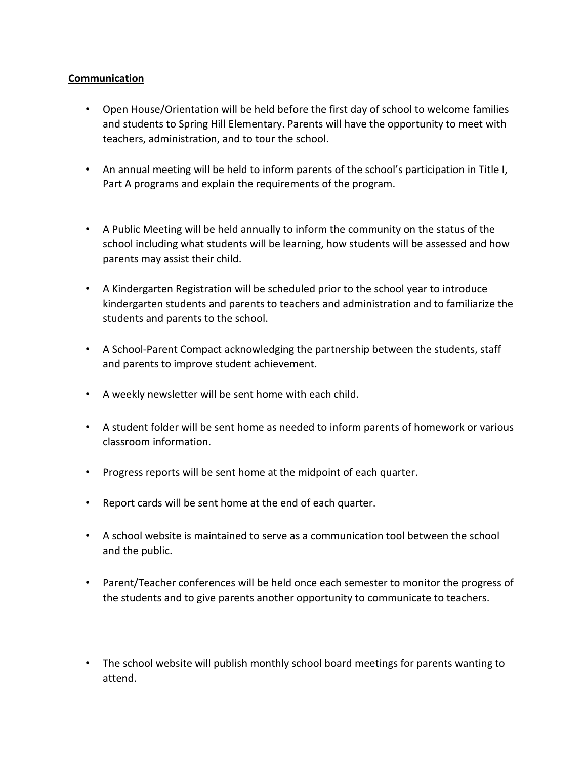## **Communication**

- Open House/Orientation will be held before the first day of school to welcome families and students to Spring Hill Elementary. Parents will have the opportunity to meet with teachers, administration, and to tour the school.
- An annual meeting will be held to inform parents of the school's participation in Title I, Part A programs and explain the requirements of the program.
- A Public Meeting will be held annually to inform the community on the status of the school including what students will be learning, how students will be assessed and how parents may assist their child.
- A Kindergarten Registration will be scheduled prior to the school year to introduce kindergarten students and parents to teachers and administration and to familiarize the students and parents to the school.
- A School‐Parent Compact acknowledging the partnership between the students, staff and parents to improve student achievement.
- A weekly newsletter will be sent home with each child.
- A student folder will be sent home as needed to inform parents of homework or various classroom information.
- Progress reports will be sent home at the midpoint of each quarter.
- Report cards will be sent home at the end of each quarter.
- A school website is maintained to serve as a communication tool between the school and the public.
- Parent/Teacher conferences will be held once each semester to monitor the progress of the students and to give parents another opportunity to communicate to teachers.
- The school website will publish monthly school board meetings for parents wanting to attend.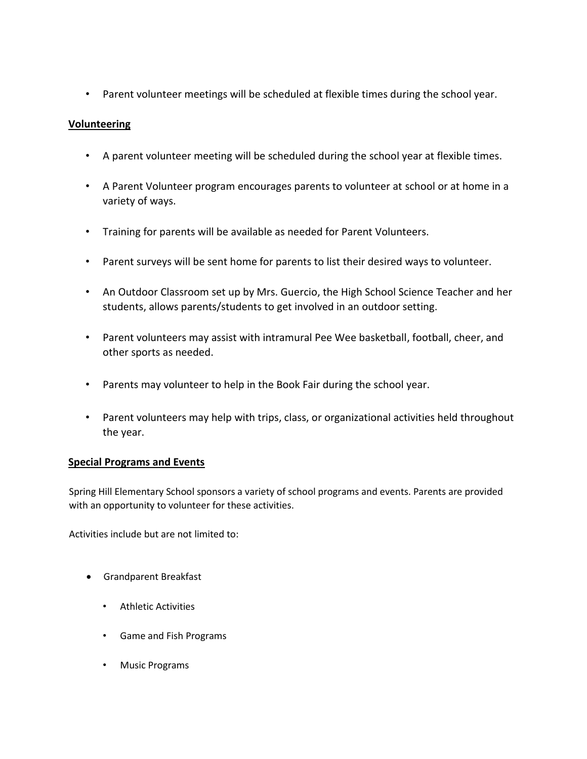• Parent volunteer meetings will be scheduled at flexible times during the school year.

## **Volunteering**

- A parent volunteer meeting will be scheduled during the school year at flexible times.
- A Parent Volunteer program encourages parents to volunteer at school or at home in a variety of ways.
- Training for parents will be available as needed for Parent Volunteers.
- Parent surveys will be sent home for parents to list their desired ways to volunteer.
- An Outdoor Classroom set up by Mrs. Guercio, the High School Science Teacher and her students, allows parents/students to get involved in an outdoor setting.
- Parent volunteers may assist with intramural Pee Wee basketball, football, cheer, and other sports as needed.
- Parents may volunteer to help in the Book Fair during the school year.
- Parent volunteers may help with trips, class, or organizational activities held throughout the year.

#### **Special Programs and Events**

Spring Hill Elementary School sponsors a variety of school programs and events. Parents are provided with an opportunity to volunteer for these activities.

Activities include but are not limited to:

- Grandparent Breakfast
	- Athletic Activities
	- Game and Fish Programs
	- Music Programs